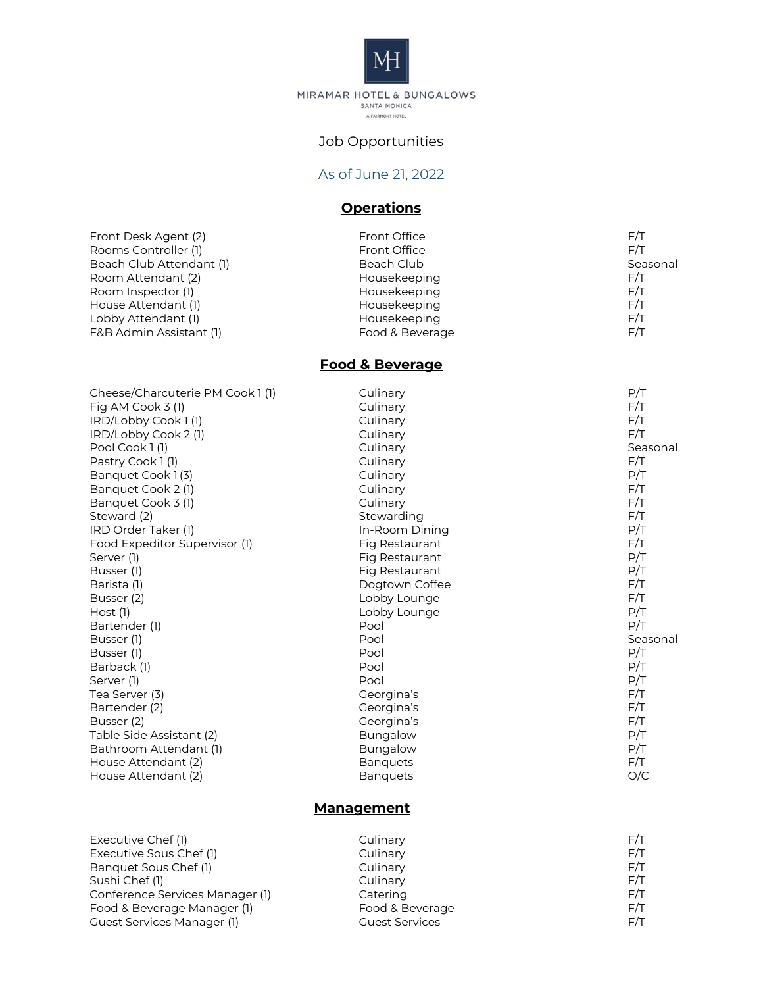

MIRAMAR HOTEL & BUNGALOWS<br>SANTA MONICA A FAIRMONT HOTEL

## Job Opportunities

#### As of June 21 , 2022

# **Operations**

| Front Desk Agent (2)     | <b>Front Office</b> | F/T      |
|--------------------------|---------------------|----------|
| Rooms Controller (1)     | <b>Front Office</b> | F/T      |
| Beach Club Attendant (1) | Beach Club          | Seasonal |
| Room Attendant (2)       | Housekeeping        | F/T      |
| Room Inspector (1)       | Housekeeping        | F/T      |
| House Attendant (1)      | Housekeeping        | F/T      |
| Lobby Attendant (1)      | Housekeeping        | F/T      |
| F&B Admin Assistant (1)  | Food & Beverage     | F/T      |
|                          |                     |          |

### **Food & Beverage**

| Cheese/Charcuterie PM Cook 1 (1) | Culinary        | P/T      |
|----------------------------------|-----------------|----------|
| Fig AM Cook $3(1)$               | Culinary        | F/T      |
| IRD/Lobby Cook 1(1)              | Culinary        | F/T      |
| IRD/Lobby Cook 2 (1)             | Culinary        | F/T      |
| Pool Cook 1(1)                   | Culinary        | Seasonal |
| Pastry Cook 1(1)                 | Culinary        | F/T      |
| Banquet Cook 1(3)                | Culinary        | P/T      |
| Banquet Cook 2 (1)               | Culinary        | F/T      |
| Banquet Cook 3 (1)               | Culinary        | F/T      |
| Steward (2)                      | Stewarding      | F/T      |
| IRD Order Taker (1)              | In-Room Dining  | P/T      |
| Food Expeditor Supervisor (1)    | Fig Restaurant  | F/T      |
| Server (1)                       | Fig Restaurant  | P/T      |
| Busser (1)                       | Fig Restaurant  | P/T      |
| Barista (1)                      | Dogtown Coffee  | F/T      |
| Busser (2)                       | Lobby Lounge    | F/T      |
| $Host$ (1)                       | Lobby Lounge    | P/T      |
| Bartender (1)                    | Pool            | P/T      |
| Busser (1)                       | Pool            | Seasonal |
| Busser (1)                       | Pool            | P/T      |
| Barback (1)                      | Pool            | P/T      |
| Server (1)                       | Pool            | P/T      |
| Tea Server (3)                   | Georgina's      | F/T      |
| Bartender (2)                    | Georgina's      | F/T      |
| Busser (2)                       | Georgina's      | F/T      |
| Table Side Assistant (2)         | <b>Bungalow</b> | P/T      |
| Bathroom Attendant (1)           | <b>Bungalow</b> | P/T      |
| House Attendant (2)              | <b>Banquets</b> | F/T      |
| House Attendant (2)              | <b>Banquets</b> | O/C      |
|                                  |                 |          |

## **Management**

| Executive Chef (1)              | Culinary              | F/T |
|---------------------------------|-----------------------|-----|
| Executive Sous Chef (1)         | Culinary              | F/T |
| Banquet Sous Chef (1)           | Culinary              | F/T |
| Sushi Chef (1)                  | Culinary              | F/T |
| Conference Services Manager (1) | Catering              | F/T |
| Food & Beverage Manager (1)     | Food & Beverage       | F/T |
| Guest Services Manager (1)      | <b>Guest Services</b> | F/T |